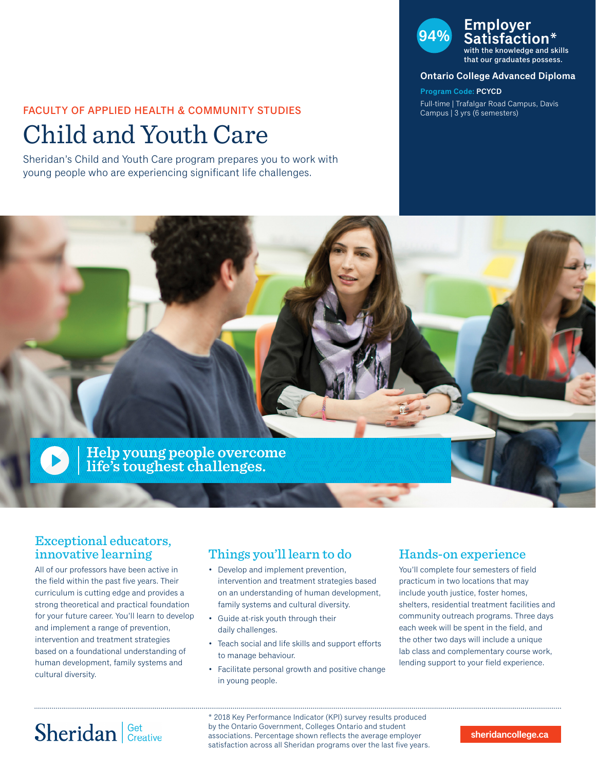### FACULTY OF APPLIED HEALTH & COMMUNITY STUDIES

# Child and Youth Care

Sheridan's Child and Youth Care program prepares you to work with young people who are experiencing significant life challenges.

## **94% Employer Satisfaction\***

with the knowledge and skills that our graduates possess.

#### **Ontario College Advanced Diploma**

**Program Code: PCYCD** Full-time | Trafalgar Road Campus, Davis Campus | 3 yrs (6 semesters)



### Exceptional educators, innovative learning

All of our professors have been active in the field within the past five years. Their curriculum is cutting edge and provides a strong theoretical and practical foundation for your future career. You'll learn to develop and implement a range of prevention, intervention and treatment strategies based on a foundational understanding of human development, family systems and cultural diversity.

### Things you'll learn to do

- Develop and implement prevention, intervention and treatment strategies based on an understanding of human development, family systems and cultural diversity.
- Guide at-risk youth through their daily challenges.
- Teach social and life skills and support efforts to manage behaviour.
- Facilitate personal growth and positive change in young people.

### Hands-on experience

You'll complete four semesters of field practicum in two locations that may include youth justice, foster homes, shelters, residential treatment facilities and community outreach programs. Three days each week will be spent in the field, and the other two days will include a unique lab class and complementary course work, lending support to your field experience.

# Sheridan Get Creative

\* 2018 Key Performance Indicator (KPI) survey results produced by the Ontario Government, Colleges Ontario and student associations. Percentage shown reflects the average employer satisfaction across all Sheridan programs over the last five years.